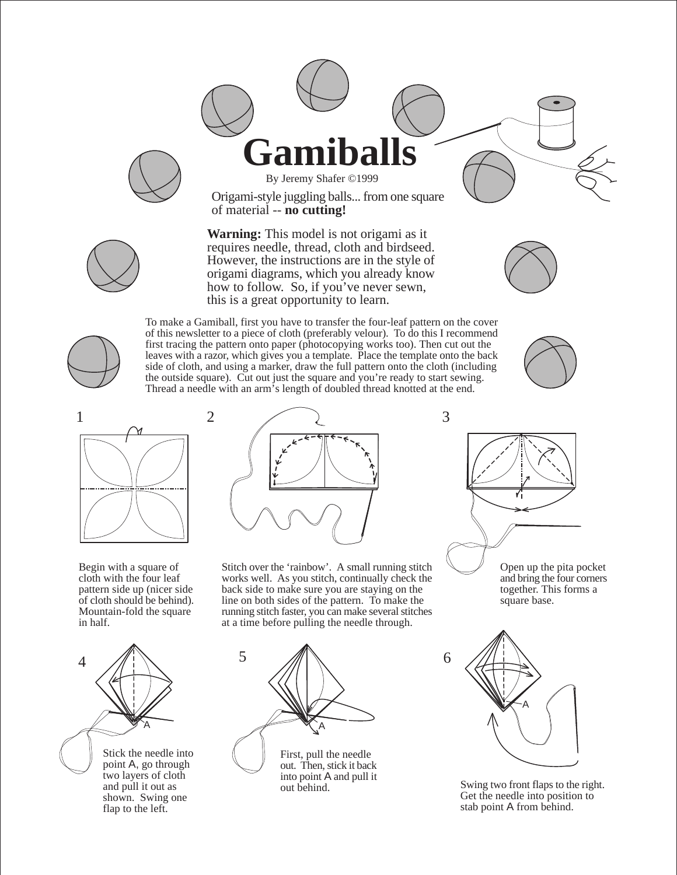



Origami-style juggling balls... from one square of material -- **no cutting!**

**Warning:** This model is not origami as it requires needle, thread, cloth and birdseed. However, the instructions are in the style of origami diagrams, which you already know how to follow. So, if you've never sewn, this is a great opportunity to learn.





To make a Gamiball, first you have to transfer the four-leaf pattern on the cover of this newsletter to a piece of cloth (preferably velour). To do this I recommend first tracing the pattern onto paper (photocopying works too). Then cut out the leaves with a razor, which gives you a template. Place the template onto the back side of cloth, and using a marker, draw the full pattern onto the cloth (including the outside square). Cut out just the square and you're ready to start sewing. Thread a needle with an arm's length of doubled thread knotted at the end.





Begin with a square of cloth with the four leaf pattern side up (nicer side of cloth should be behind). Mountain-fold the square in half.



Stitch over the 'rainbow'. A small running stitch works well. As you stitch, continually check the back side to make sure you are staying on the line on both sides of the pattern. To make the running stitch faster, you can make several stitches at a time before pulling the needle through.



Stick the needle into point A, go through two layers of cloth and pull it out as shown. Swing one flap to the left.







Swing two front flaps to the right. Get the needle into position to stab point A from behind.